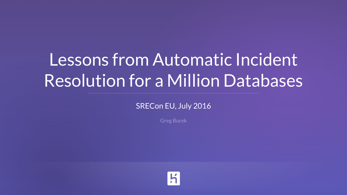### Lessons from Automatic Incident Resolution for a Million Databases

SRECon EU, July 2016

Greg Burek

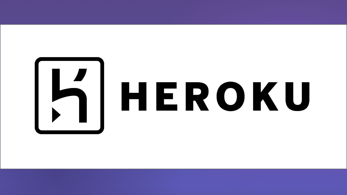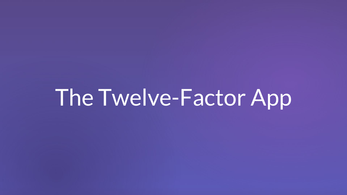## The Twelve-Factor App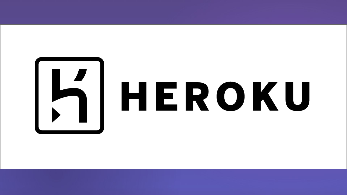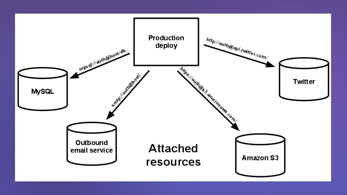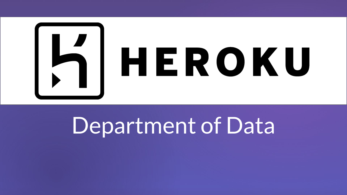

## Department of Data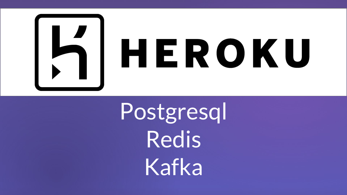

Postgresql **Redis** Kafka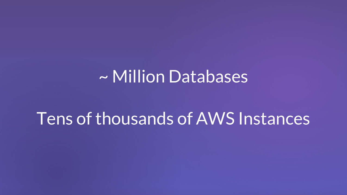#### ~ Million Databases

#### Tens of thousands of AWS Instances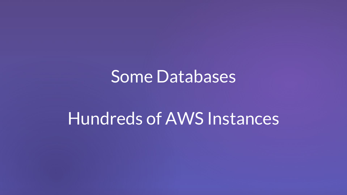#### Some Databases

### Hundreds of AWS Instances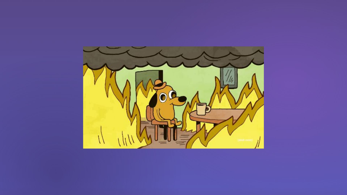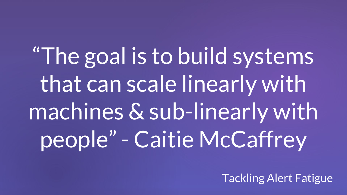"The goal is to build systems that can scale linearly with machines & sub-linearly with people" - Caitie McCaffrey

Tackling Alert Fatigue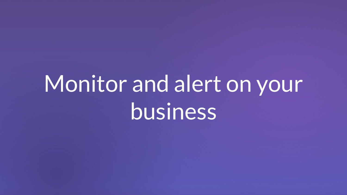# Monitor and alert on your business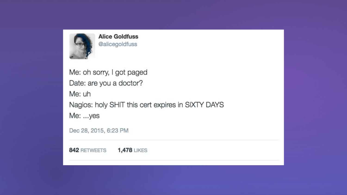

#### **Alice Goldfuss @alicegoldfuss**

Me: oh sorry, I got paged Date: are you a doctor? Me: uh Nagios: holy SHIT this cert expires in SIXTY DAYS Me: ...yes Dec 28, 2015, 6:23 PM

842 RETWEETS **1,478 LIKES**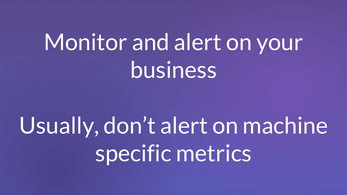# Monitor and alert on your business

# Usually, don't alert on machine specific metrics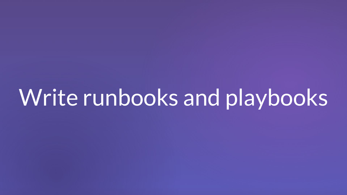# Write runbooks and playbooks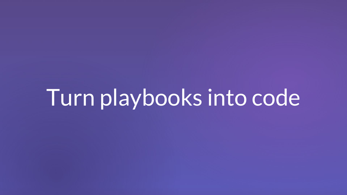# Turn playbooks into code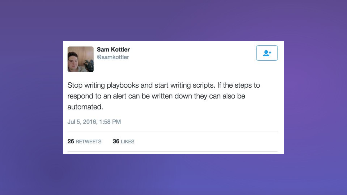

**Sam Kottler** @samkottler



Stop writing playbooks and start writing scripts. If the steps to respond to an alert can be written down they can also be automated.

Jul 5, 2016, 1:58 PM

**26 RETWEETS 36 LIKES**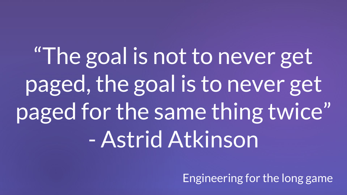"The goal is not to never get paged, the goal is to never get paged for the same thing twice" - Astrid Atkinson

Engineering for the long game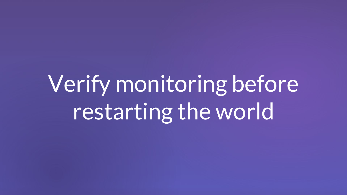Verify monitoring before restarting the world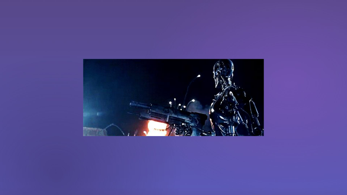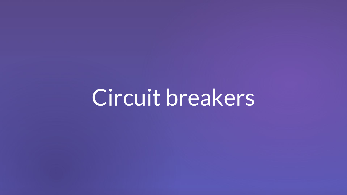## Circuit breakers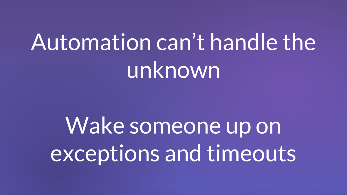# Automation can't handle the unknown

Wake someone up on exceptions and timeouts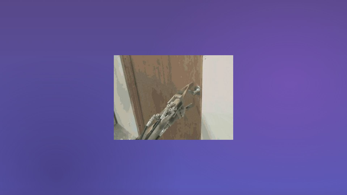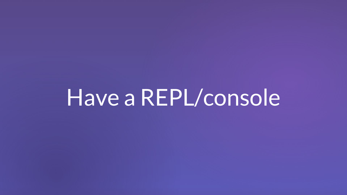## Have a REPL/console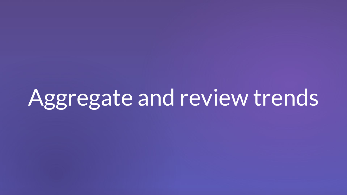# Aggregate and review trends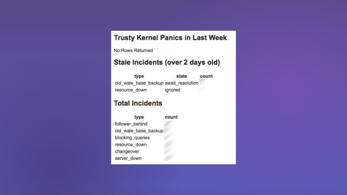#### **Trusty Kernel Panics in Last Week**

No Rows Returned

#### Stale Incidents (over 2 days old)

state type count old\_wale\_base\_backup await\_resolution resource\_down ignored

#### **Total Incidents**

type count follower\_behind old\_wale\_base\_backup blocking\_queries resource down changeover server\_down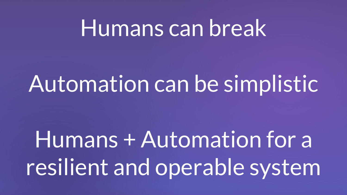### Humans can break

## Automation can be simplistic

# Humans + Automation for a resilient and operable system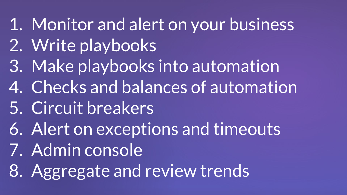- 1. Monitor and alert on your business
- 2. Write playbooks
- 3. Make playbooks into automation
- 4. Checks and balances of automation
- 5. Circuit breakers
- 6. Alert on exceptions and timeouts
- 7. Admin console
- 8. Aggregate and review trends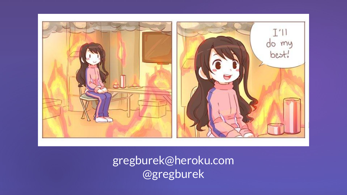

gregburek@heroku.com @gregburek